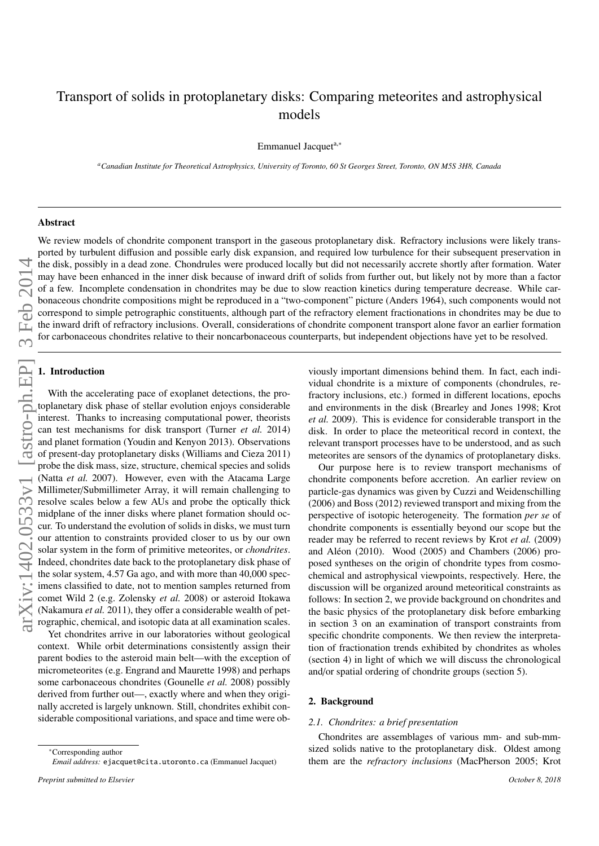# Transport of solids in protoplanetary disks: Comparing meteorites and astrophysical models

Emmanuel Jacquet<sup>a,∗</sup>

*<sup>a</sup>Canadian Institute for Theoretical Astrophysics, University of Toronto, 60 St Georges Street, Toronto, ON M5S 3H8, Canada*

# Abstract

We review models of chondrite component transport in the gaseous protoplanetary disk. Refractory inclusions were likely transported by turbulent diffusion and possible early disk expansion, and required low turbulence for their subsequent preservation in the disk, possibly in a dead zone. Chondrules were produced locally but did not necessarily accrete shortly after formation. Water may have been enhanced in the inner disk because of inward drift of solids from further out, but likely not by more than a factor of a few. Incomplete condensation in chondrites may be due to slow reaction kinetics during temperature decrease. While carbonaceous chondrite compositions might be reproduced in a "two-component" picture (Anders 1964), such components would not correspond to simple petrographic constituents, although part of the refractory element fractionations in chondrites may be due to the inward drift of refractory inclusions. Overall, considerations of chondrite component transport alone favor an earlier formation for carbonaceous chondrites relative to their noncarbonaceous counterparts, but independent objections have yet to be resolved.

# 1. Introduction

With the accelerating pace of exoplanet detections, the protoplanetary disk phase of stellar evolution enjoys considerable interest. Thanks to increasing computational power, theorists can test mechanisms for disk transport (Turner *et al.* 2014) and planet formation (Youdin and Kenyon 2013). Observations of present-day protoplanetary disks (Williams and Cieza 2011) probe the disk mass, size, structure, chemical species and solids (Natta *et al.* 2007). However, even with the Atacama Large Millimeter/Submillimeter Array, it will remain challenging to resolve scales below a few AUs and probe the optically thick midplane of the inner disks where planet formation should occur. To understand the evolution of solids in disks, we must turn our attention to constraints provided closer to us by our own solar system in the form of primitive meteorites, or *chondrites*. Indeed, chondrites date back to the protoplanetary disk phase of the solar system, 4.57 Ga ago, and with more than 40,000 specimens classified to date, not to mention samples returned from comet Wild 2 (e.g. Zolensky *et al.* 2008) or asteroid Itokawa (Nakamura *et al.* 2011), they offer a considerable wealth of petrographic, chemical, and isotopic data at all examination scales.

Yet chondrites arrive in our laboratories without geological context. While orbit determinations consistently assign their parent bodies to the asteroid main belt—with the exception of micrometeorites (e.g. Engrand and Maurette 1998) and perhaps some carbonaceous chondrites (Gounelle *et al.* 2008) possibly derived from further out—, exactly where and when they originally accreted is largely unknown. Still, chondrites exhibit considerable compositional variations, and space and time were ob-

viously important dimensions behind them. In fact, each individual chondrite is a mixture of components (chondrules, refractory inclusions, etc.) formed in different locations, epochs and environments in the disk (Brearley and Jones 1998; Krot *et al.* 2009). This is evidence for considerable transport in the disk. In order to place the meteoritical record in context, the relevant transport processes have to be understood, and as such meteorites are sensors of the dynamics of protoplanetary disks.

Our purpose here is to review transport mechanisms of chondrite components before accretion. An earlier review on particle-gas dynamics was given by Cuzzi and Weidenschilling (2006) and Boss (2012) reviewed transport and mixing from the perspective of isotopic heterogeneity. The formation *per se* of chondrite components is essentially beyond our scope but the reader may be referred to recent reviews by Krot *et al.* (2009) and Aléon (2010). Wood (2005) and Chambers (2006) proposed syntheses on the origin of chondrite types from cosmochemical and astrophysical viewpoints, respectively. Here, the discussion will be organized around meteoritical constraints as follows: In section 2, we provide background on chondrites and the basic physics of the protoplanetary disk before embarking in section 3 on an examination of transport constraints from specific chondrite components. We then review the interpretation of fractionation trends exhibited by chondrites as wholes (section 4) in light of which we will discuss the chronological and/or spatial ordering of chondrite groups (section 5).

# 2. Background

## *2.1. Chondrites: a brief presentation*

Chondrites are assemblages of various mm- and sub-mmsized solids native to the protoplanetary disk. Oldest among them are the *refractory inclusions* (MacPherson 2005; Krot

<sup>∗</sup>Corresponding author *Email address:* ejacquet@cita.utoronto.ca (Emmanuel Jacquet)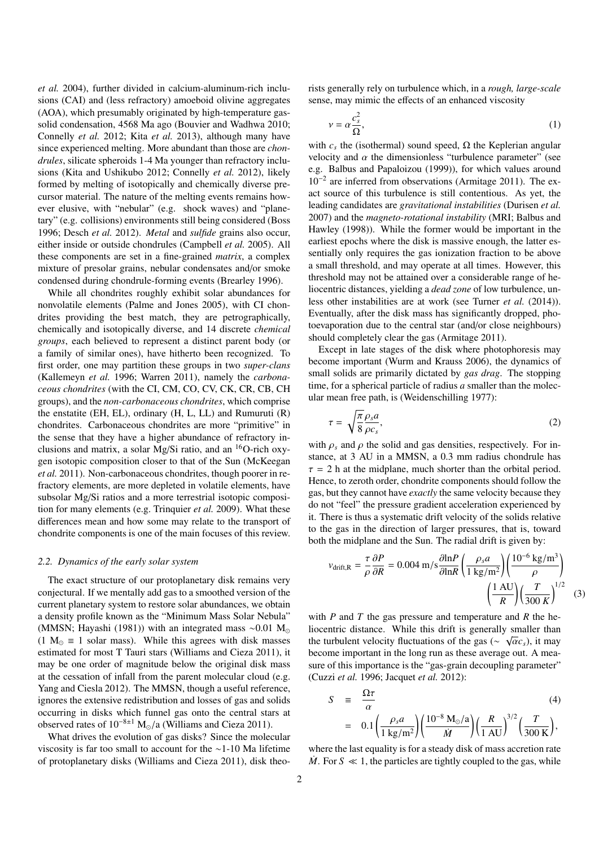*et al.* 2004), further divided in calcium-aluminum-rich inclusions (CAI) and (less refractory) amoeboid olivine aggregates (AOA), which presumably originated by high-temperature gassolid condensation, 4568 Ma ago (Bouvier and Wadhwa 2010; Connelly *et al.* 2012; Kita *et al.* 2013), although many have since experienced melting. More abundant than those are *chondrules*, silicate spheroids 1-4 Ma younger than refractory inclusions (Kita and Ushikubo 2012; Connelly *et al.* 2012), likely formed by melting of isotopically and chemically diverse precursor material. The nature of the melting events remains however elusive, with "nebular" (e.g. shock waves) and "planetary" (e.g. collisions) environments still being considered (Boss 1996; Desch *et al.* 2012). *Metal* and *sulfide* grains also occur, either inside or outside chondrules (Campbell *et al.* 2005). All these components are set in a fine-grained *matrix*, a complex mixture of presolar grains, nebular condensates and/or smoke condensed during chondrule-forming events (Brearley 1996).

While all chondrites roughly exhibit solar abundances for nonvolatile elements (Palme and Jones 2005), with CI chondrites providing the best match, they are petrographically, chemically and isotopically diverse, and 14 discrete *chemical groups*, each believed to represent a distinct parent body (or a family of similar ones), have hitherto been recognized. To first order, one may partition these groups in two *super-clans* (Kallemeyn *et al.* 1996; Warren 2011), namely the *carbonaceous chondrites* (with the CI, CM, CO, CV, CK, CR, CB, CH groups), and the *non-carbonaceous chondrites*, which comprise the enstatite (EH, EL), ordinary (H, L, LL) and Rumuruti (R) chondrites. Carbonaceous chondrites are more "primitive" in the sense that they have a higher abundance of refractory inclusions and matrix, a solar Mg/Si ratio, and an <sup>16</sup>O-rich oxygen isotopic composition closer to that of the Sun (McKeegan *et al.* 2011). Non-carbonaceous chondrites, though poorer in refractory elements, are more depleted in volatile elements, have subsolar Mg/Si ratios and a more terrestrial isotopic composition for many elements (e.g. Trinquier *et al.* 2009). What these differences mean and how some may relate to the transport of chondrite components is one of the main focuses of this review.

#### *2.2. Dynamics of the early solar system*

The exact structure of our protoplanetary disk remains very conjectural. If we mentally add gas to a smoothed version of the current planetary system to restore solar abundances, we obtain a density profile known as the "Minimum Mass Solar Nebula" (MMSN; Hayashi (1981)) with an integrated mass ∼0.01 M  $(1 M<sub>o</sub> \equiv 1)$  solar mass). While this agrees with disk masses estimated for most T Tauri stars (Williams and Cieza 2011), it may be one order of magnitude below the original disk mass at the cessation of infall from the parent molecular cloud (e.g. Yang and Ciesla 2012). The MMSN, though a useful reference, ignores the extensive redistribution and losses of gas and solids occurring in disks which funnel gas onto the central stars at observed rates of  $10^{-8\pm1}$  M<sub>o</sub>/a (Williams and Cieza 2011).

What drives the evolution of gas disks? Since the molecular viscosity is far too small to account for the ∼1-10 Ma lifetime of protoplanetary disks (Williams and Cieza 2011), disk theorists generally rely on turbulence which, in a *rough, large-scale* sense, may mimic the effects of an enhanced viscosity

$$
v = \alpha \frac{c_s^2}{\Omega},\tag{1}
$$

with  $c_s$  the (isothermal) sound speed,  $\Omega$  the Keplerian angular velocity and  $\alpha$  the dimensionless "turbulence parameter" (see e.g. Balbus and Papaloizou (1999)), for which values around 10−<sup>2</sup> are inferred from observations (Armitage 2011). The exact source of this turbulence is still contentious. As yet, the leading candidates are *gravitational instabilities* (Durisen *et al.* 2007) and the *magneto-rotational instability* (MRI; Balbus and Hawley (1998)). While the former would be important in the earliest epochs where the disk is massive enough, the latter essentially only requires the gas ionization fraction to be above a small threshold, and may operate at all times. However, this threshold may not be attained over a considerable range of heliocentric distances, yielding a *dead zone* of low turbulence, unless other instabilities are at work (see Turner *et al.* (2014)). Eventually, after the disk mass has significantly dropped, photoevaporation due to the central star (and/or close neighbours) should completely clear the gas (Armitage 2011).

Except in late stages of the disk where photophoresis may become important (Wurm and Krauss 2006), the dynamics of small solids are primarily dictated by *gas drag*. The stopping time, for a spherical particle of radius *a* smaller than the molecular mean free path, is (Weidenschilling 1977):

$$
\tau = \sqrt{\frac{\pi}{8}} \frac{\rho_s a}{\rho c_s},\tag{2}
$$

with  $\rho_s$  and  $\rho$  the solid and gas densities, respectively. For in-<br>stance, at 3 AU in a MMSN, a 0.3 mm radius chondrule has stance, at 3 AU in a MMSN, a 0.3 mm radius chondrule has  $\tau = 2$  h at the midplane, much shorter than the orbital period. Hence, to zeroth order, chondrite components should follow the gas, but they cannot have *exactly* the same velocity because they do not "feel" the pressure gradient acceleration experienced by it. There is thus a systematic drift velocity of the solids relative to the gas in the direction of larger pressures, that is, toward both the midplane and the Sun. The radial drift is given by:

$$
v_{\text{drift,R}} = \frac{\tau}{\rho} \frac{\partial P}{\partial R} = 0.004 \text{ m/s} \frac{\partial \ln P}{\partial \ln R} \left( \frac{\rho_s a}{1 \text{ kg/m}^2} \right) \left( \frac{10^{-6} \text{ kg/m}^3}{\rho} \right) \left( \frac{1 \text{ AU}}{300 \text{ K}} \right)^{1/2} (3)
$$

with *P* and *T* the gas pressure and temperature and *R* the heliocentric distance. While this drift is generally smaller than the turbulent velocity fluctuations of the gas ( $\sim \sqrt{\alpha} c_s$ ), it may become important in the long run as these average out. A meabecome important in the long run as these average out. A measure of this importance is the "gas-grain decoupling parameter" (Cuzzi *et al.* 1996; Jacquet *et al.* 2012):

$$
S = \frac{\Omega \tau}{\alpha} \tag{4}
$$
  
= 0.1  $\left(\frac{\rho_s a}{1 \text{ kg/m}^2}\right) \left(\frac{10^{-8} \text{ M}_{\odot}/\text{a}}{\dot{M}}\right) \left(\frac{R}{1 \text{ AU}}\right)^{3/2} \left(\frac{T}{300 \text{ K}}\right),$ 

where the last equality is for a steady disk of mass accretion rate *M*. For  $S \ll 1$ , the particles are tightly coupled to the gas, while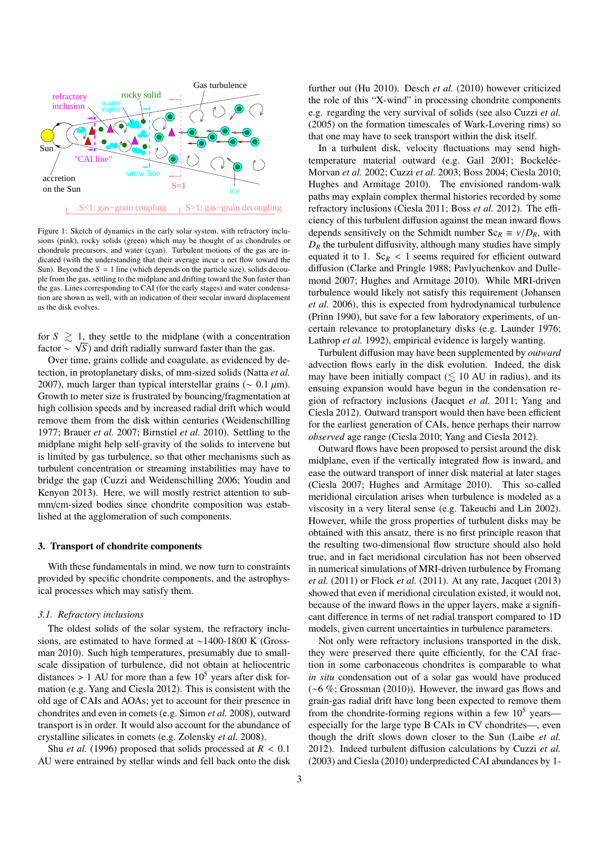

Figure 1: Sketch of dynamics in the early solar system, with refractory inclusions (pink), rocky solids (green) which may be thought of as chondrules or chondrule precursors, and water (cyan). Turbulent motions of the gas are indicated (with the understanding that their average incur a net flow toward the Sun). Beyond the  $S = 1$  line (which depends on the particle size), solids decouple from the gas, settling to the midplane and drifting toward the Sun faster than the gas. Lines corresponding to CAI (for the early stages) and water condensation are shown as well, with an indication of their secular inward displacement as the disk evolves.

for  $S \geq 1$ , they settle to the midplane (with a concentration factor  $\sim \sqrt{S}$ ) and drift radially sunward faster than the gas.

Over time, grains collide and coagulate, as evidenced by detection, in protoplanetary disks, of mm-sized solids (Natta *et al.* 2007), much larger than typical interstellar grains ( $\sim 0.1 \mu$ m). Growth to meter size is frustrated by bouncing/fragmentation at high collision speeds and by increased radial drift which would remove them from the disk within centuries (Weidenschilling 1977; Brauer *et al.* 2007; Birnstiel *et al.* 2010). Settling to the midplane might help self-gravity of the solids to intervene but is limited by gas turbulence, so that other mechanisms such as turbulent concentration or streaming instabilities may have to bridge the gap (Cuzzi and Weidenschilling 2006; Youdin and Kenyon 2013). Here, we will mostly restrict attention to submm/cm-sized bodies since chondrite composition was established at the agglomeration of such components.

#### 3. Transport of chondrite components

With these fundamentals in mind, we now turn to constraints provided by specific chondrite components, and the astrophysical processes which may satisfy them.

# *3.1. Refractory inclusions*

The oldest solids of the solar system, the refractory inclusions, are estimated to have formed at ∼1400-1800 K (Grossman 2010). Such high temperatures, presumably due to smallscale dissipation of turbulence, did not obtain at heliocentric distances > 1 AU for more than a few  $10^5$  years after disk formation (e.g. Yang and Ciesla 2012). This is consistent with the old age of CAIs and AOAs; yet to account for their presence in chondrites and even in comets (e.g. Simon *et al.* 2008), outward transport is in order. It would also account for the abundance of crystalline silicates in comets (e.g. Zolensky *et al.* 2008).

Shu *et al.* (1996) proposed that solids processed at *<sup>R</sup>* < <sup>0</sup>.<sup>1</sup> AU were entrained by stellar winds and fell back onto the disk

further out (Hu 2010). Desch *et al.* (2010) however criticized the role of this "X-wind" in processing chondrite components e.g. regarding the very survival of solids (see also Cuzzi *et al.* (2005) on the formation timescales of Wark-Lovering rims) so that one may have to seek transport within the disk itself.

In a turbulent disk, velocity fluctuations may send hightemperature material outward (e.g. Gail 2001; Bockelée-Morvan *et al.* 2002; Cuzzi *et al.* 2003; Boss 2004; Ciesla 2010; Hughes and Armitage 2010). The envisioned random-walk paths may explain complex thermal histories recorded by some refractory inclusions (Ciesla 2011; Boss *et al.* 2012). The efficiency of this turbulent diffusion against the mean inward flows depends sensitively on the Schmidt number  $Sc_R \equiv v/D_R$ , with  $D_R$  the turbulent diffusivity, although many studies have simply equated it to 1.  $Sc_R < 1$  seems required for efficient outward diffusion (Clarke and Pringle 1988; Pavlyuchenkov and Dullemond 2007; Hughes and Armitage 2010). While MRI-driven turbulence would likely not satisfy this requirement (Johansen *et al.* 2006), this is expected from hydrodynamical turbulence (Prinn 1990), but save for a few laboratory experiments, of uncertain relevance to protoplanetary disks (e.g. Launder 1976; Lathrop *et al.* 1992), empirical evidence is largely wanting.

Turbulent diffusion may have been supplemented by *outward* advection flows early in the disk evolution. Indeed, the disk may have been initially compact  $(\leq 10 \text{ AU} \text{ in } \text{radius})$ , and its ensuing expansion would have begun in the condensation region of refractory inclusions (Jacquet *et al.* 2011; Yang and Ciesla 2012). Outward transport would then have been efficient for the earliest generation of CAIs, hence perhaps their narrow *observed* age range (Ciesla 2010; Yang and Ciesla 2012).

Outward flows have been proposed to persist around the disk midplane, even if the vertically integrated flow is inward, and ease the outward transport of inner disk material at later stages (Ciesla 2007; Hughes and Armitage 2010). This so-called meridional circulation arises when turbulence is modeled as a viscosity in a very literal sense (e.g. Takeuchi and Lin 2002). However, while the gross properties of turbulent disks may be obtained with this ansatz, there is no first principle reason that the resulting two-dimensional flow structure should also hold true, and in fact meridional circulation has not been observed in numerical simulations of MRI-driven turbulence by Fromang *et al.* (2011) or Flock *et al.* (2011). At any rate, Jacquet (2013) showed that even if meridional circulation existed, it would not, because of the inward flows in the upper layers, make a significant difference in terms of net radial transport compared to 1D models, given current uncertainties in turbulence parameters.

Not only were refractory inclusions transported in the disk, they were preserved there quite efficiently, for the CAI fraction in some carbonaceous chondrites is comparable to what *in situ* condensation out of a solar gas would have produced (∼6 %; Grossman (2010)). However, the inward gas flows and grain-gas radial drift have long been expected to remove them from the chondrite-forming regions within a few  $10^5$  years especially for the large type B CAIs in CV chondrites—, even though the drift slows down closer to the Sun (Laibe *et al.* 2012). Indeed turbulent diffusion calculations by Cuzzi *et al.* (2003) and Ciesla (2010) underpredicted CAI abundances by 1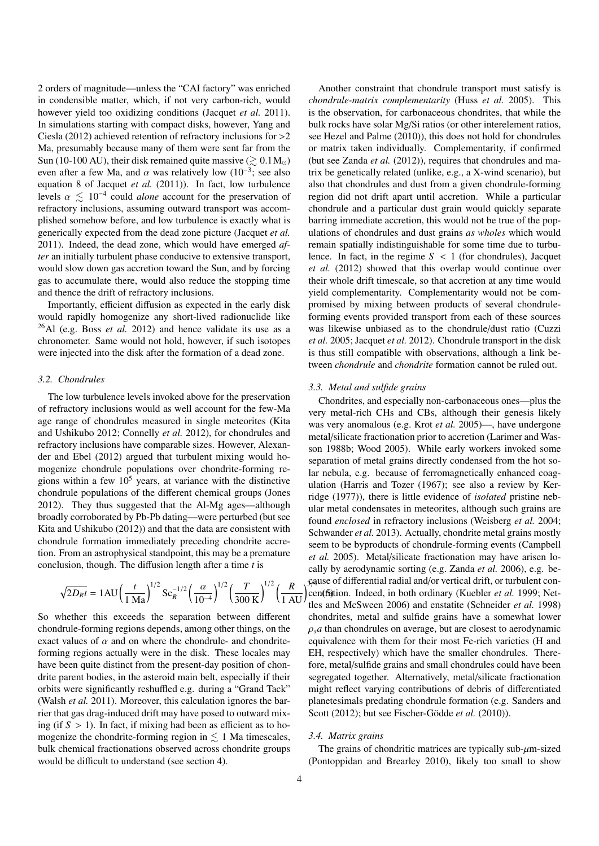2 orders of magnitude—unless the "CAI factory" was enriched in condensible matter, which, if not very carbon-rich, would however yield too oxidizing conditions (Jacquet *et al.* 2011). In simulations starting with compact disks, however, Yang and Ciesla (2012) achieved retention of refractory inclusions for ><sup>2</sup> Ma, presumably because many of them were sent far from the Sun (10-100 AU), their disk remained quite massive  $(\geq 0.1 M_{\odot})$ even after a few Ma, and  $\alpha$  was relatively low (10<sup>-3</sup>; see also<br>equation 8 of Jacquet *et al.* (2011)) In fact, low turbulence equation 8 of Jacquet *et al.* (2011)). In fact, low turbulence levels  $\alpha \lesssim 10^{-4}$  could *alone* account for the preservation of refractory inclusions assuming outward transport was accomrefractory inclusions, assuming outward transport was accomplished somehow before, and low turbulence is exactly what is generically expected from the dead zone picture (Jacquet *et al.* 2011). Indeed, the dead zone, which would have emerged *after* an initially turbulent phase conducive to extensive transport, would slow down gas accretion toward the Sun, and by forcing gas to accumulate there, would also reduce the stopping time and thence the drift of refractory inclusions.

Importantly, efficient diffusion as expected in the early disk would rapidly homogenize any short-lived radionuclide like <sup>26</sup>Al (e.g. Boss *et al.* 2012) and hence validate its use as a chronometer. Same would not hold, however, if such isotopes were injected into the disk after the formation of a dead zone.

# *3.2. Chondrules*

The low turbulence levels invoked above for the preservation of refractory inclusions would as well account for the few-Ma age range of chondrules measured in single meteorites (Kita and Ushikubo 2012; Connelly *et al.* 2012), for chondrules and refractory inclusions have comparable sizes. However, Alexander and Ebel (2012) argued that turbulent mixing would homogenize chondrule populations over chondrite-forming regions within a few  $10^5$  years, at variance with the distinctive chondrule populations of the different chemical groups (Jones 2012). They thus suggested that the Al-Mg ages—although broadly corroborated by Pb-Pb dating—were perturbed (but see Kita and Ushikubo (2012)) and that the data are consistent with chondrule formation immediately preceding chondrite accretion. From an astrophysical standpoint, this may be a premature conclusion, though. The diffusion length after a time *t* is

$$
\sqrt{2D_R t} = 1 \text{AU} \left(\frac{t}{1 \text{ Ma}}\right)^{1/2} \text{Sc}_R^{-1/2} \left(\frac{\alpha}{10^{-4}}\right)^{1/2} \left(\frac{T}{300 \text{ K}}\right)^{1/2} \left(\frac{R}{1 \text{ AU}}\right)
$$

So whether this exceeds the separation between different chondrule-forming regions depends, among other things, on the exact values of  $\alpha$  and on where the chondrule- and chondriteforming regions actually were in the disk. These locales may have been quite distinct from the present-day position of chondrite parent bodies, in the asteroid main belt, especially if their orbits were significantly reshuffled e.g. during a "Grand Tack" (Walsh *et al.* 2011). Moreover, this calculation ignores the barrier that gas drag-induced drift may have posed to outward mixing (if  $S > 1$ ). In fact, if mixing had been as efficient as to homogenize the chondrite-forming region in  $\leq 1$  Ma timescales, bulk chemical fractionations observed across chondrite groups would be difficult to understand (see section 4).

Another constraint that chondrule transport must satisfy is *chondrule-matrix complementarity* (Huss *et al.* 2005). This is the observation, for carbonaceous chondrites, that while the bulk rocks have solar Mg/Si ratios (or other interelement ratios, see Hezel and Palme (2010)), this does not hold for chondrules or matrix taken individually. Complementarity, if confirmed (but see Zanda *et al.* (2012)), requires that chondrules and matrix be genetically related (unlike, e.g., a X-wind scenario), but also that chondrules and dust from a given chondrule-forming region did not drift apart until accretion. While a particular chondrule and a particular dust grain would quickly separate barring immediate accretion, this would not be true of the populations of chondrules and dust grains *as wholes* which would remain spatially indistinguishable for some time due to turbulence. In fact, in the regime  $S < 1$  (for chondrules), Jacquet *et al.* (2012) showed that this overlap would continue over their whole drift timescale, so that accretion at any time would yield complementarity. Complementarity would not be compromised by mixing between products of several chondruleforming events provided transport from each of these sources was likewise unbiased as to the chondrule/dust ratio (Cuzzi *et al.* 2005; Jacquet *et al.* 2012). Chondrule transport in the disk is thus still compatible with observations, although a link between *chondrule* and *chondrite* formation cannot be ruled out.

## *3.3. Metal and sulfide grains*

 $\frac{R}{1 \text{ AU}}$  (squise of differential radial and/or vertical drift, or turbulent con-<br> $\frac{R}{1 \text{ AU}}$  (centration. Indeed, in both ordinary (Kuebler *et al.* 1999; Net-Chondrites, and especially non-carbonaceous ones—plus the very metal-rich CHs and CBs, although their genesis likely was very anomalous (e.g. Krot *et al.* 2005)—, have undergone metal/silicate fractionation prior to accretion (Larimer and Wasson 1988b; Wood 2005). While early workers invoked some separation of metal grains directly condensed from the hot solar nebula, e.g. because of ferromagnetically enhanced coagulation (Harris and Tozer (1967); see also a review by Kerridge (1977)), there is little evidence of *isolated* pristine nebular metal condensates in meteorites, although such grains are found *enclosed* in refractory inclusions (Weisberg *et al.* 2004; Schwander *et al.* 2013). Actually, chondrite metal grains mostly seem to be byproducts of chondrule-forming events (Campbell *et al.* 2005). Metal/silicate fractionation may have arisen locally by aerodynamic sorting (e.g. Zanda *et al.* 2006), e.g. because of differential radial and/or vertical drift, or turbulent contles and McSween 2006) and enstatite (Schneider *et al.* 1998) chondrites, metal and sulfide grains have a somewhat lower  $\rho_s a$  than chondrules on average, but are closest to aerodynamic equivalence with them for their most Fe-rich varieties (H and EH, respectively) which have the smaller chondrules. Therefore, metal/sulfide grains and small chondrules could have been segregated together. Alternatively, metal/silicate fractionation might reflect varying contributions of debris of differentiated planetesimals predating chondrule formation (e.g. Sanders and Scott (2012); but see Fischer-Gödde et al. (2010)).

#### *3.4. Matrix grains*

The grains of chondritic matrices are typically sub- $\mu$ m-sized (Pontoppidan and Brearley 2010), likely too small to show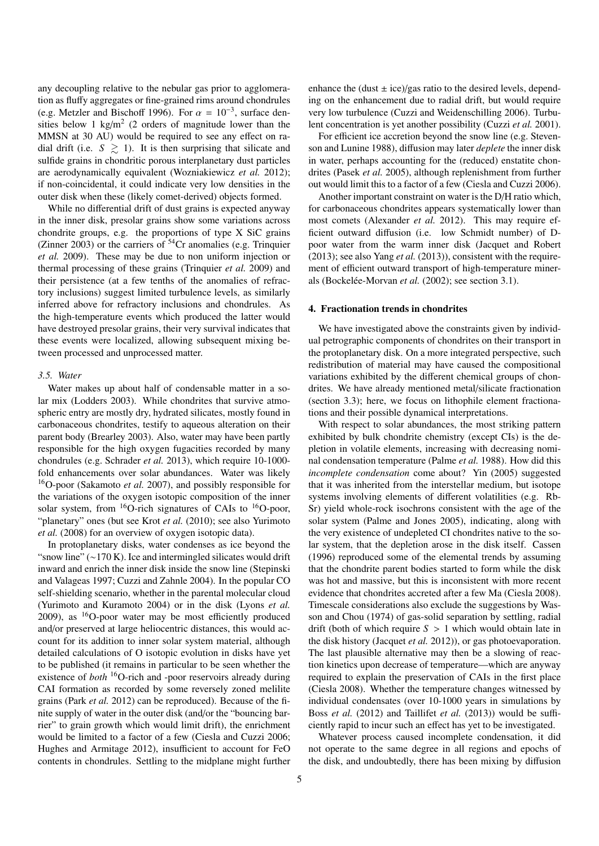any decoupling relative to the nebular gas prior to agglomeration as fluffy aggregates or fine-grained rims around chondrules (e.g. Metzler and Bischoff 1996). For  $\alpha = 10^{-3}$ , surface densities below 1 kg/m<sup>2</sup> (2 orders of magnitude lower than the sities below 1 kg/m<sup>2</sup> (2 orders of magnitude lower than the MMSN at 30 AU) would be required to see any effect on radial drift (i.e.  $S \geq 1$ ). It is then surprising that silicate and sulfide grains in chondritic porous interplanetary dust particles are aerodynamically equivalent (Wozniakiewicz *et al.* 2012); if non-coincidental, it could indicate very low densities in the outer disk when these (likely comet-derived) objects formed.

While no differential drift of dust grains is expected anyway in the inner disk, presolar grains show some variations across chondrite groups, e.g. the proportions of type X SiC grains (Zinner 2003) or the carriers of  $54$ Cr anomalies (e.g. Trinquier *et al.* 2009). These may be due to non uniform injection or thermal processing of these grains (Trinquier *et al.* 2009) and their persistence (at a few tenths of the anomalies of refractory inclusions) suggest limited turbulence levels, as similarly inferred above for refractory inclusions and chondrules. As the high-temperature events which produced the latter would have destroyed presolar grains, their very survival indicates that these events were localized, allowing subsequent mixing between processed and unprocessed matter.

# *3.5. Water*

Water makes up about half of condensable matter in a solar mix (Lodders 2003). While chondrites that survive atmospheric entry are mostly dry, hydrated silicates, mostly found in carbonaceous chondrites, testify to aqueous alteration on their parent body (Brearley 2003). Also, water may have been partly responsible for the high oxygen fugacities recorded by many chondrules (e.g. Schrader *et al.* 2013), which require 10-1000 fold enhancements over solar abundances. Water was likely <sup>16</sup>O-poor (Sakamoto *et al.* 2007), and possibly responsible for the variations of the oxygen isotopic composition of the inner solar system, from  $^{16}O$ -rich signatures of CAIs to  $^{16}O$ -poor, "planetary" ones (but see Krot *et al.* (2010); see also Yurimoto *et al.* (2008) for an overview of oxygen isotopic data).

In protoplanetary disks, water condenses as ice beyond the "snow line" (∼170 K). Ice and intermingled silicates would drift inward and enrich the inner disk inside the snow line (Stepinski and Valageas 1997; Cuzzi and Zahnle 2004). In the popular CO self-shielding scenario, whether in the parental molecular cloud (Yurimoto and Kuramoto 2004) or in the disk (Lyons *et al.*  $2009$ ), as  $16$ O-poor water may be most efficiently produced and/or preserved at large heliocentric distances, this would account for its addition to inner solar system material, although detailed calculations of O isotopic evolution in disks have yet to be published (it remains in particular to be seen whether the existence of *both* <sup>16</sup>O-rich and -poor reservoirs already during CAI formation as recorded by some reversely zoned melilite grains (Park *et al.* 2012) can be reproduced). Because of the finite supply of water in the outer disk (and/or the "bouncing barrier" to grain growth which would limit drift), the enrichment would be limited to a factor of a few (Ciesla and Cuzzi 2006; Hughes and Armitage 2012), insufficient to account for FeO contents in chondrules. Settling to the midplane might further

enhance the (dust  $\pm$  ice)/gas ratio to the desired levels, depending on the enhancement due to radial drift, but would require very low turbulence (Cuzzi and Weidenschilling 2006). Turbulent concentration is yet another possibility (Cuzzi *et al.* 2001).

For efficient ice accretion beyond the snow line (e.g. Stevenson and Lunine 1988), diffusion may later *deplete* the inner disk in water, perhaps accounting for the (reduced) enstatite chondrites (Pasek *et al.* 2005), although replenishment from further out would limit this to a factor of a few (Ciesla and Cuzzi 2006).

Another important constraint on water is the D/H ratio which, for carbonaceous chondrites appears systematically lower than most comets (Alexander *et al.* 2012). This may require efficient outward diffusion (i.e. low Schmidt number) of Dpoor water from the warm inner disk (Jacquet and Robert (2013); see also Yang *et al.* (2013)), consistent with the requirement of efficient outward transport of high-temperature minerals (Bockelée-Morvan et al. (2002); see section 3.1).

#### 4. Fractionation trends in chondrites

We have investigated above the constraints given by individual petrographic components of chondrites on their transport in the protoplanetary disk. On a more integrated perspective, such redistribution of material may have caused the compositional variations exhibited by the different chemical groups of chondrites. We have already mentioned metal/silicate fractionation (section 3.3); here, we focus on lithophile element fractionations and their possible dynamical interpretations.

With respect to solar abundances, the most striking pattern exhibited by bulk chondrite chemistry (except CIs) is the depletion in volatile elements, increasing with decreasing nominal condensation temperature (Palme *et al.* 1988). How did this *incomplete condensation* come about? Yin (2005) suggested that it was inherited from the interstellar medium, but isotope systems involving elements of different volatilities (e.g. Rb-Sr) yield whole-rock isochrons consistent with the age of the solar system (Palme and Jones 2005), indicating, along with the very existence of undepleted CI chondrites native to the solar system, that the depletion arose in the disk itself. Cassen (1996) reproduced some of the elemental trends by assuming that the chondrite parent bodies started to form while the disk was hot and massive, but this is inconsistent with more recent evidence that chondrites accreted after a few Ma (Ciesla 2008). Timescale considerations also exclude the suggestions by Wasson and Chou (1974) of gas-solid separation by settling, radial drift (both of which require *<sup>S</sup>* > 1 which would obtain late in the disk history (Jacquet *et al.* 2012)), or gas photoevaporation. The last plausible alternative may then be a slowing of reaction kinetics upon decrease of temperature—which are anyway required to explain the preservation of CAIs in the first place (Ciesla 2008). Whether the temperature changes witnessed by individual condensates (over 10-1000 years in simulations by Boss *et al.* (2012) and Taillifet *et al.* (2013)) would be sufficiently rapid to incur such an effect has yet to be investigated.

Whatever process caused incomplete condensation, it did not operate to the same degree in all regions and epochs of the disk, and undoubtedly, there has been mixing by diffusion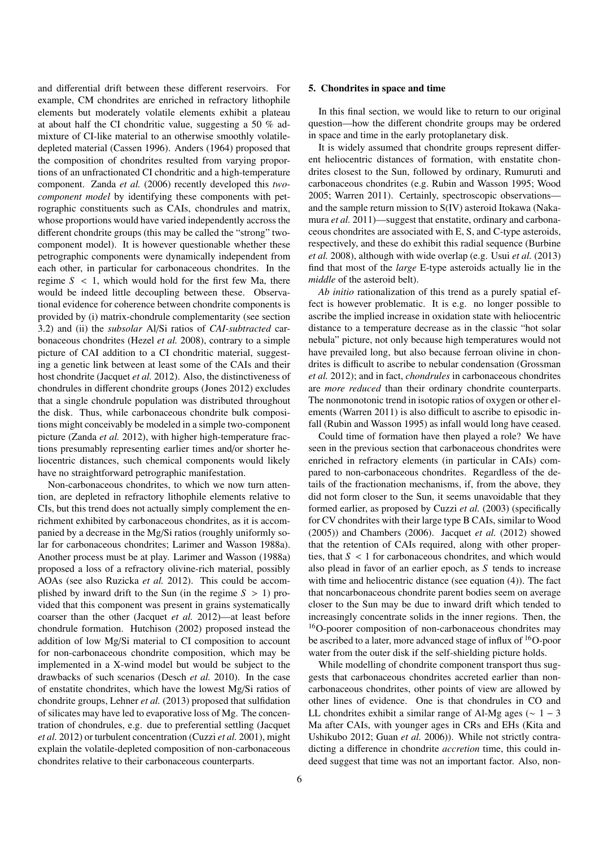and differential drift between these different reservoirs. For example, CM chondrites are enriched in refractory lithophile elements but moderately volatile elements exhibit a plateau at about half the CI chondritic value, suggesting a 50 % admixture of CI-like material to an otherwise smoothly volatiledepleted material (Cassen 1996). Anders (1964) proposed that the composition of chondrites resulted from varying proportions of an unfractionated CI chondritic and a high-temperature component. Zanda *et al.* (2006) recently developed this *twocomponent model* by identifying these components with petrographic constituents such as CAIs, chondrules and matrix, whose proportions would have varied independently accross the different chondrite groups (this may be called the "strong" twocomponent model). It is however questionable whether these petrographic components were dynamically independent from each other, in particular for carbonaceous chondrites. In the regime  $S < 1$ , which would hold for the first few Ma, there would be indeed little decoupling between these. Observational evidence for coherence between chondrite components is provided by (i) matrix-chondrule complementarity (see section 3.2) and (ii) the *subsolar* Al/Si ratios of *CAI-subtracted* carbonaceous chondrites (Hezel *et al.* 2008), contrary to a simple picture of CAI addition to a CI chondritic material, suggesting a genetic link between at least some of the CAIs and their host chondrite (Jacquet *et al.* 2012). Also, the distinctiveness of chondrules in different chondrite groups (Jones 2012) excludes that a single chondrule population was distributed throughout the disk. Thus, while carbonaceous chondrite bulk compositions might conceivably be modeled in a simple two-component picture (Zanda *et al.* 2012), with higher high-temperature fractions presumably representing earlier times and/or shorter heliocentric distances, such chemical components would likely have no straightforward petrographic manifestation.

Non-carbonaceous chondrites, to which we now turn attention, are depleted in refractory lithophile elements relative to CIs, but this trend does not actually simply complement the enrichment exhibited by carbonaceous chondrites, as it is accompanied by a decrease in the Mg/Si ratios (roughly uniformly solar for carbonaceous chondrites; Larimer and Wasson 1988a). Another process must be at play. Larimer and Wasson (1988a) proposed a loss of a refractory olivine-rich material, possibly AOAs (see also Ruzicka *et al.* 2012). This could be accomplished by inward drift to the Sun (in the regime  $S > 1$ ) provided that this component was present in grains systematically coarser than the other (Jacquet *et al.* 2012)—at least before chondrule formation. Hutchison (2002) proposed instead the addition of low Mg/Si material to CI composition to account for non-carbonaceous chondrite composition, which may be implemented in a X-wind model but would be subject to the drawbacks of such scenarios (Desch *et al.* 2010). In the case of enstatite chondrites, which have the lowest Mg/Si ratios of chondrite groups, Lehner *et al.* (2013) proposed that sulfidation of silicates may have led to evaporative loss of Mg. The concentration of chondrules, e.g. due to preferential settling (Jacquet *et al.* 2012) or turbulent concentration (Cuzzi *et al.* 2001), might explain the volatile-depleted composition of non-carbonaceous chondrites relative to their carbonaceous counterparts.

#### 5. Chondrites in space and time

In this final section, we would like to return to our original question—how the different chondrite groups may be ordered in space and time in the early protoplanetary disk.

It is widely assumed that chondrite groups represent different heliocentric distances of formation, with enstatite chondrites closest to the Sun, followed by ordinary, Rumuruti and carbonaceous chondrites (e.g. Rubin and Wasson 1995; Wood 2005; Warren 2011). Certainly, spectroscopic observations and the sample return mission to S(IV) asteroid Itokawa (Nakamura *et al.* 2011)—suggest that enstatite, ordinary and carbonaceous chondrites are associated with E, S, and C-type asteroids, respectively, and these do exhibit this radial sequence (Burbine *et al.* 2008), although with wide overlap (e.g. Usui *et al.* (2013) find that most of the *large* E-type asteroids actually lie in the *middle* of the asteroid belt).

*Ab initio* rationalization of this trend as a purely spatial effect is however problematic. It is e.g. no longer possible to ascribe the implied increase in oxidation state with heliocentric distance to a temperature decrease as in the classic "hot solar nebula" picture, not only because high temperatures would not have prevailed long, but also because ferroan olivine in chondrites is difficult to ascribe to nebular condensation (Grossman *et al.* 2012); and in fact, *chondrules* in carbonaceous chondrites are *more reduced* than their ordinary chondrite counterparts. The nonmonotonic trend in isotopic ratios of oxygen or other elements (Warren 2011) is also difficult to ascribe to episodic infall (Rubin and Wasson 1995) as infall would long have ceased.

Could time of formation have then played a role? We have seen in the previous section that carbonaceous chondrites were enriched in refractory elements (in particular in CAIs) compared to non-carbonaceous chondrites. Regardless of the details of the fractionation mechanisms, if, from the above, they did not form closer to the Sun, it seems unavoidable that they formed earlier, as proposed by Cuzzi *et al.* (2003) (specifically for CV chondrites with their large type B CAIs, similar to Wood (2005)) and Chambers (2006). Jacquet *et al.* (2012) showed that the retention of CAIs required, along with other properties, that  $S < 1$  for carbonaceous chondrites, and which would also plead in favor of an earlier epoch, as *S* tends to increase with time and heliocentric distance (see equation (4)). The fact that noncarbonaceous chondrite parent bodies seem on average closer to the Sun may be due to inward drift which tended to increasingly concentrate solids in the inner regions. Then, the <sup>16</sup>O-poorer composition of non-carbonaceous chondrites may be ascribed to a later, more advanced stage of influx of <sup>16</sup>O-poor water from the outer disk if the self-shielding picture holds.

While modelling of chondrite component transport thus suggests that carbonaceous chondrites accreted earlier than noncarbonaceous chondrites, other points of view are allowed by other lines of evidence. One is that chondrules in CO and LL chondrites exhibit a similar range of Al-Mg ages ( $\sim 1 - 3$ Ma after CAIs, with younger ages in CRs and EHs (Kita and Ushikubo 2012; Guan *et al.* 2006)). While not strictly contradicting a difference in chondrite *accretion* time, this could indeed suggest that time was not an important factor. Also, non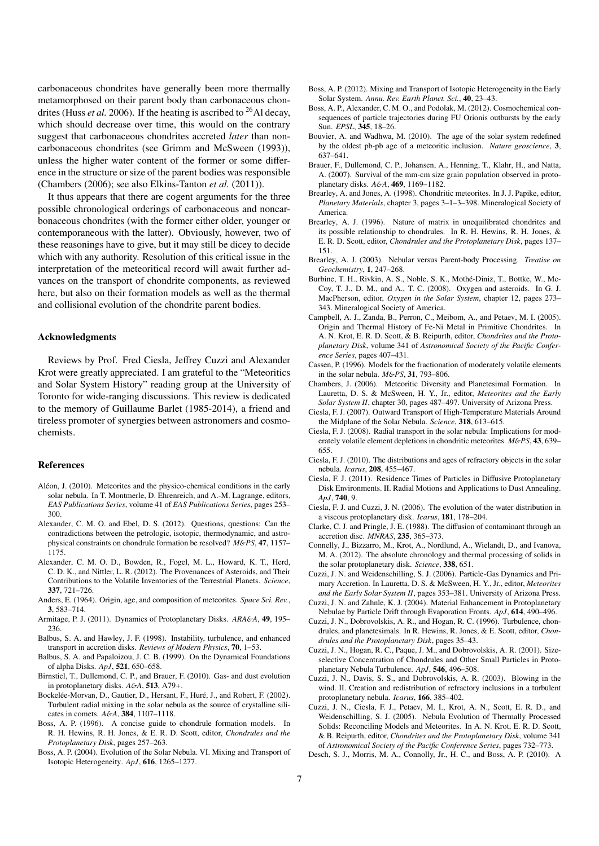carbonaceous chondrites have generally been more thermally metamorphosed on their parent body than carbonaceous chondrites (Huss *et al.* 2006). If the heating is ascribed to <sup>26</sup>Al decay, which should decrease over time, this would on the contrary suggest that carbonaceous chondrites accreted *later* than noncarbonaceous chondrites (see Grimm and McSween (1993)), unless the higher water content of the former or some difference in the structure or size of the parent bodies was responsible (Chambers (2006); see also Elkins-Tanton *et al.* (2011)).

It thus appears that there are cogent arguments for the three possible chronological orderings of carbonaceous and noncarbonaceous chondrites (with the former either older, younger or contemporaneous with the latter). Obviously, however, two of these reasonings have to give, but it may still be dicey to decide which with any authority. Resolution of this critical issue in the interpretation of the meteoritical record will await further advances on the transport of chondrite components, as reviewed here, but also on their formation models as well as the thermal and collisional evolution of the chondrite parent bodies.

#### Acknowledgments

Reviews by Prof. Fred Ciesla, Jeffrey Cuzzi and Alexander Krot were greatly appreciated. I am grateful to the "Meteoritics and Solar System History" reading group at the University of Toronto for wide-ranging discussions. This review is dedicated to the memory of Guillaume Barlet (1985-2014), a friend and tireless promoter of synergies between astronomers and cosmochemists.

## References

- Aléon, J. (2010). Meteorites and the physico-chemical conditions in the early solar nebula. In T. Montmerle, D. Ehrenreich, and A.-M. Lagrange, editors, *EAS Publications Series*, volume 41 of *EAS Publications Series*, pages 253– 300.
- Alexander, C. M. O. and Ebel, D. S. (2012). Questions, questions: Can the contradictions between the petrologic, isotopic, thermodynamic, and astrophysical constraints on chondrule formation be resolved? *M*&*PS*, 47, 1157– 1175.
- Alexander, C. M. O. D., Bowden, R., Fogel, M. L., Howard, K. T., Herd, C. D. K., and Nittler, L. R. (2012). The Provenances of Asteroids, and Their Contributions to the Volatile Inventories of the Terrestrial Planets. *Science*, 337, 721–726.
- Anders, E. (1964). Origin, age, and composition of meteorites. *Space Sci. Rev.*, 3, 583–714.
- Armitage, P. J. (2011). Dynamics of Protoplanetary Disks. *ARA*&*A*, 49, 195– 236.
- Balbus, S. A. and Hawley, J. F. (1998). Instability, turbulence, and enhanced transport in accretion disks. *Reviews of Modern Physics*, 70, 1–53.
- Balbus, S. A. and Papaloizou, J. C. B. (1999). On the Dynamical Foundations of alpha Disks. *ApJ*, 521, 650–658.
- Birnstiel, T., Dullemond, C. P., and Brauer, F. (2010). Gas- and dust evolution in protoplanetary disks.  $A\&A$ , **513**,  $A$ 79+.
- Bockelée-Morvan, D., Gautier, D., Hersant, F., Huré, J., and Robert, F. (2002). Turbulent radial mixing in the solar nebula as the source of crystalline silicates in comets. *A*&*A*, 384, 1107–1118.
- Boss, A. P. (1996). A concise guide to chondrule formation models. In R. H. Hewins, R. H. Jones, & E. R. D. Scott, editor, *Chondrules and the Protoplanetary Disk*, pages 257–263.
- Boss, A. P. (2004). Evolution of the Solar Nebula. VI. Mixing and Transport of Isotopic Heterogeneity. *ApJ*, 616, 1265–1277.
- Boss, A. P. (2012). Mixing and Transport of Isotopic Heterogeneity in the Early Solar System. *Annu. Rev. Earth Planet. Sci.*, 40, 23–43.
- Boss, A. P., Alexander, C. M. O., and Podolak, M. (2012). Cosmochemical consequences of particle trajectories during FU Orionis outbursts by the early Sun. *EPSL*, 345, 18–26.
- Bouvier, A. and Wadhwa, M. (2010). The age of the solar system redefined by the oldest pb-pb age of a meteoritic inclusion. *Nature geoscience*, 3, 637–641.
- Brauer, F., Dullemond, C. P., Johansen, A., Henning, T., Klahr, H., and Natta, A. (2007). Survival of the mm-cm size grain population observed in protoplanetary disks. *A*&*A*, 469, 1169–1182.
- Brearley, A. and Jones, A. (1998). Chondritic meteorites. In J. J. Papike, editor, *Planetary Materials*, chapter 3, pages 3–1–3–398. Mineralogical Society of America.
- Brearley, A. J. (1996). Nature of matrix in unequilibrated chondrites and its possible relationship to chondrules. In R. H. Hewins, R. H. Jones, & E. R. D. Scott, editor, *Chondrules and the Protoplanetary Disk*, pages 137– 151.
- Brearley, A. J. (2003). Nebular versus Parent-body Processing. *Treatise on Geochemistry*, 1, 247–268.
- Burbine, T. H., Rivkin, A. S., Noble, S. K., Mothe-Diniz, T., Bottke, W., Mc- ´ Coy, T. J., D. M., and A., T. C. (2008). Oxygen and asteroids. In G. J. MacPherson, editor, *Oxygen in the Solar System*, chapter 12, pages 273– 343. Mineralogical Society of America.
- Campbell, A. J., Zanda, B., Perron, C., Meibom, A., and Petaev, M. I. (2005). Origin and Thermal History of Fe-Ni Metal in Primitive Chondrites. In A. N. Krot, E. R. D. Scott, & B. Reipurth, editor, *Chondrites and the Protoplanetary Disk*, volume 341 of *Astronomical Society of the Pacific Conference Series*, pages 407–431.
- Cassen, P. (1996). Models for the fractionation of moderately volatile elements in the solar nebula. *M*&*PS*, 31, 793–806.
- Chambers, J. (2006). Meteoritic Diversity and Planetesimal Formation. In Lauretta, D. S. & McSween, H. Y., Jr., editor, *Meteorites and the Early Solar System II*, chapter 30, pages 487–497. University of Arizona Press.
- Ciesla, F. J. (2007). Outward Transport of High-Temperature Materials Around the Midplane of the Solar Nebula. *Science*, 318, 613–615.
- Ciesla, F. J. (2008). Radial transport in the solar nebula: Implications for moderately volatile element depletions in chondritic meteorites. *M*&*PS*, 43, 639– 655.
- Ciesla, F. J. (2010). The distributions and ages of refractory objects in the solar nebula. *Icarus*, 208, 455–467.
- Ciesla, F. J. (2011). Residence Times of Particles in Diffusive Protoplanetary Disk Environments. II. Radial Motions and Applications to Dust Annealing. *ApJ*, 740, 9.
- Ciesla, F. J. and Cuzzi, J. N. (2006). The evolution of the water distribution in a viscous protoplanetary disk. *Icarus*, 181, 178–204.
- Clarke, C. J. and Pringle, J. E. (1988). The diffusion of contaminant through an accretion disc. *MNRAS*, 235, 365–373.
- Connelly, J., Bizzarro, M., Krot, A., Nordlund, A., Wielandt, D., and Ivanova, M. A. (2012). The absolute chronology and thermal processing of solids in the solar protoplanetary disk. *Science*, 338, 651.
- Cuzzi, J. N. and Weidenschilling, S. J. (2006). Particle-Gas Dynamics and Primary Accretion. In Lauretta, D. S. & McSween, H. Y., Jr., editor, *Meteorites and the Early Solar System II*, pages 353–381. University of Arizona Press.
- Cuzzi, J. N. and Zahnle, K. J. (2004). Material Enhancement in Protoplanetary Nebulae by Particle Drift through Evaporation Fronts. *ApJ*, 614, 490–496.
- Cuzzi, J. N., Dobrovolskis, A. R., and Hogan, R. C. (1996). Turbulence, chondrules, and planetesimals. In R. Hewins, R. Jones, & E. Scott, editor, *Chondrules and the Protoplanetary Disk*, pages 35–43.
- Cuzzi, J. N., Hogan, R. C., Paque, J. M., and Dobrovolskis, A. R. (2001). Sizeselective Concentration of Chondrules and Other Small Particles in Protoplanetary Nebula Turbulence. *ApJ*, 546, 496–508.
- Cuzzi, J. N., Davis, S. S., and Dobrovolskis, A. R. (2003). Blowing in the wind. II. Creation and redistribution of refractory inclusions in a turbulent protoplanetary nebula. *Icarus*, 166, 385–402.
- Cuzzi, J. N., Ciesla, F. J., Petaev, M. I., Krot, A. N., Scott, E. R. D., and Weidenschilling, S. J. (2005). Nebula Evolution of Thermally Processed Solids: Reconciling Models and Meteorites. In A. N. Krot, E. R. D. Scott, & B. Reipurth, editor, *Chondrites and the Protoplanetary Disk*, volume 341 of *Astronomical Society of the Pacific Conference Series*, pages 732–773.
- Desch, S. J., Morris, M. A., Connolly, Jr., H. C., and Boss, A. P. (2010). A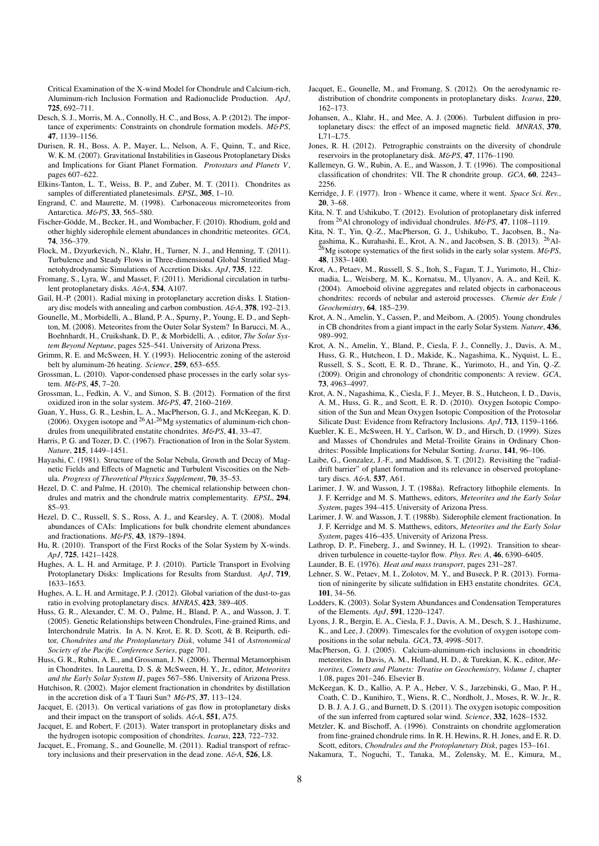Critical Examination of the X-wind Model for Chondrule and Calcium-rich, Aluminum-rich Inclusion Formation and Radionuclide Production. *ApJ*, 725, 692–711.

Desch, S. J., Morris, M. A., Connolly, H. C., and Boss, A. P. (2012). The importance of experiments: Constraints on chondrule formation models. *M*&*PS*, 47, 1139–1156.

- Durisen, R. H., Boss, A. P., Mayer, L., Nelson, A. F., Quinn, T., and Rice, W. K. M. (2007). Gravitational Instabilities in Gaseous Protoplanetary Disks and Implications for Giant Planet Formation. *Protostars and Planets V*, pages 607–622.
- Elkins-Tanton, L. T., Weiss, B. P., and Zuber, M. T. (2011). Chondrites as samples of differentiated planetesimals. *EPSL*, 305, 1–10.
- Engrand, C. and Maurette, M. (1998). Carbonaceous micrometeorites from Antarctica. *M*&*PS*, 33, 565–580.
- Fischer-Gödde, M., Becker, H., and Wombacher, F. (2010). Rhodium, gold and other highly siderophile element abundances in chondritic meteorites. *GCA*, 74, 356–379.
- Flock, M., Dzyurkevich, N., Klahr, H., Turner, N. J., and Henning, T. (2011). Turbulence and Steady Flows in Three-dimensional Global Stratified Magnetohydrodynamic Simulations of Accretion Disks. *ApJ*, 735, 122.
- Fromang, S., Lyra, W., and Masset, F. (2011). Meridional circulation in turbulent protoplanetary disks. *A*&*A*, 534, A107.
- Gail, H.-P. (2001). Radial mixing in protoplanetary accretion disks. I. Stationary disc models with annealing and carbon combustion. *A*&*A*, 378, 192–213.
- Gounelle, M., Morbidelli, A., Bland, P. A., Spurny, P., Young, E. D., and Sephton, M. (2008). Meteorites from the Outer Solar System? In Barucci, M. A., Boehnhardt, H., Cruikshank, D. P., & Morbidelli, A. , editor, *The Solar System Beyond Neptune*, pages 525–541. University of Arizona Press.
- Grimm, R. E. and McSween, H. Y. (1993). Heliocentric zoning of the asteroid belt by aluminum-26 heating. *Science*, 259, 653–655.
- Grossman, L. (2010). Vapor-condensed phase processes in the early solar system. *M*&*PS*, 45, 7–20.
- Grossman, L., Fedkin, A. V., and Simon, S. B. (2012). Formation of the first oxidized iron in the solar system. *M*&*PS*, 47, 2160–2169.
- Guan, Y., Huss, G. R., Leshin, L. A., MacPherson, G. J., and McKeegan, K. D. (2006). Oxygen isotope and  $^{26}$  Al- $^{26}$ Mg systematics of aluminum-rich chondrules from unequilibrated enstatite chondrites. *M*&*PS*, 41, 33–47.
- Harris, P. G. and Tozer, D. C. (1967). Fractionation of Iron in the Solar System. *Nature*, 215, 1449–1451.
- Hayashi, C. (1981). Structure of the Solar Nebula, Growth and Decay of Magnetic Fields and Effects of Magnetic and Turbulent Viscosities on the Nebula. *Progress of Theoretical Physics Supplement*, 70, 35–53.
- Hezel, D. C. and Palme, H. (2010). The chemical relationship between chondrules and matrix and the chondrule matrix complementarity. *EPSL*, 294, 85–93.
- Hezel, D. C., Russell, S. S., Ross, A. J., and Kearsley, A. T. (2008). Modal abundances of CAIs: Implications for bulk chondrite element abundances and fractionations. *M*&*PS*, 43, 1879–1894.
- Hu, R. (2010). Transport of the First Rocks of the Solar System by X-winds. *ApJ*, 725, 1421–1428.
- Hughes, A. L. H. and Armitage, P. J. (2010). Particle Transport in Evolving Protoplanetary Disks: Implications for Results from Stardust. *ApJ*, 719, 1633–1653.
- Hughes, A. L. H. and Armitage, P. J. (2012). Global variation of the dust-to-gas ratio in evolving protoplanetary discs. *MNRAS*, 423, 389–405.
- Huss, G. R., Alexander, C. M. O., Palme, H., Bland, P. A., and Wasson, J. T. (2005). Genetic Relationships between Chondrules, Fine-grained Rims, and Interchondrule Matrix. In A. N. Krot, E. R. D. Scott, & B. Reipurth, editor, *Chondrites and the Protoplanetary Disk*, volume 341 of *Astronomical Society of the Pacific Conference Series*, page 701.
- Huss, G. R., Rubin, A. E., and Grossman, J. N. (2006). Thermal Metamorphism in Chondrites. In Lauretta, D. S. & McSween, H. Y., Jr., editor, *Meteorites and the Early Solar System II*, pages 567–586. University of Arizona Press. Hutchison, R. (2002). Major element fractionation in chondrites by distillation
- in the accretion disk of a T Tauri Sun? *M&PS*, 37, 113–124.
- Jacquet, E. (2013). On vertical variations of gas flow in protoplanetary disks and their impact on the transport of solids. *A*&*A*, 551, A75.
- Jacquet, E. and Robert, F. (2013). Water transport in protoplanetary disks and the hydrogen isotopic composition of chondrites. *Icarus*, 223, 722–732.
- Jacquet, E., Fromang, S., and Gounelle, M. (2011). Radial transport of refractory inclusions and their preservation in the dead zone. *A*&*A*, 526, L8.
- Jacquet, E., Gounelle, M., and Fromang, S. (2012). On the aerodynamic redistribution of chondrite components in protoplanetary disks. *Icarus*, 220, 162–173.
- Johansen, A., Klahr, H., and Mee, A. J. (2006). Turbulent diffusion in protoplanetary discs: the effect of an imposed magnetic field. *MNRAS*, 370, L71–L75.
- Jones, R. H. (2012). Petrographic constraints on the diversity of chondrule reservoirs in the protoplanetary disk.  $M\&PS$ , 47, 1176–1190.
- Kallemeyn, G. W., Rubin, A. E., and Wasson, J. T. (1996). The compositional classification of chondrites: VII. The R chondrite group. *GCA*, 60, 2243– 2256.
- Kerridge, J. F. (1977). Iron Whence it came, where it went. *Space Sci. Rev.*, 20, 3–68.
- Kita, N. T. and Ushikubo, T. (2012). Evolution of protoplanetary disk inferred from <sup>26</sup>Al chronology of individual chondrules. *M*&*PS*, 47, 1108–1119.
- Kita, N. T., Yin, Q.-Z., MacPherson, G. J., Ushikubo, T., Jacobsen, B., Nagashima, K., Kurahashi, E., Krot, A. N., and Jacobsen, S. B. (2013). <sup>26</sup>Al-26Mg isotope systematics of the first solids in the early solar system. *M&PS*, 48, 1383–1400.
- Krot, A., Petaev, M., Russell, S. S., Itoh, S., Fagan, T. J., Yurimoto, H., Chizmadia, L., Weisberg, M. K., Kornatsu, M., Ulyanov, A. A., and Keil, K. (2004). Amoeboid olivine aggregates and related objects in carbonaceous chondrites: records of nebular and asteroid processes. *Chemie der Erde* / *Geochemistry*, 64, 185–239.
- Krot, A. N., Amelin, Y., Cassen, P., and Meibom, A. (2005). Young chondrules in CB chondrites from a giant impact in the early Solar System. *Nature*, 436, 989–992.
- Krot, A. N., Amelin, Y., Bland, P., Ciesla, F. J., Connelly, J., Davis, A. M., Huss, G. R., Hutcheon, I. D., Makide, K., Nagashima, K., Nyquist, L. E., Russell, S. S., Scott, E. R. D., Thrane, K., Yurimoto, H., and Yin, Q.-Z. (2009). Origin and chronology of chondritic components: A review. *GCA*, 73, 4963–4997.
- Krot, A. N., Nagashima, K., Ciesla, F. J., Meyer, B. S., Hutcheon, I. D., Davis, A. M., Huss, G. R., and Scott, E. R. D. (2010). Oxygen Isotopic Composition of the Sun and Mean Oxygen Isotopic Composition of the Protosolar Silicate Dust: Evidence from Refractory Inclusions. *ApJ*, 713, 1159–1166.
- Kuebler, K. E., McSween, H. Y., Carlson, W. D., and Hirsch, D. (1999). Sizes and Masses of Chondrules and Metal-Troilite Grains in Ordinary Chondrites: Possible Implications for Nebular Sorting. *Icarus*, 141, 96–106.
- Laibe, G., Gonzalez, J.-F., and Maddison, S. T. (2012). Revisiting the "radialdrift barrier" of planet formation and its relevance in observed protoplanetary discs. *A*&*A*, 537, A61.
- Larimer, J. W. and Wasson, J. T. (1988a). Refractory lithophile elements. In J. F. Kerridge and M. S. Matthews, editors, *Meteorites and the Early Solar System*, pages 394–415. University of Arizona Press.
- Larimer, J. W. and Wasson, J. T. (1988b). Siderophile element fractionation. In J. F. Kerridge and M. S. Matthews, editors, *Meteorites and the Early Solar System*, pages 416–435. University of Arizona Press.
- Lathrop, D. P., Fineberg, J., and Swinney, H. L. (1992). Transition to sheardriven turbulence in couette-taylor flow. *Phys. Rev. A*, 46, 6390–6405.
- Launder, B. E. (1976). *Heat and mass transport*, pages 231–287.
- Lehner, S. W., Petaev, M. I., Zolotov, M. Y., and Buseck, P. R. (2013). Formation of niningerite by silicate sulfidation in EH3 enstatite chondrites. *GCA*, 101, 34–56.
- Lodders, K. (2003). Solar System Abundances and Condensation Temperatures of the Elements. *ApJ*, 591, 1220–1247.
- Lyons, J. R., Bergin, E. A., Ciesla, F. J., Davis, A. M., Desch, S. J., Hashizume, K., and Lee, J. (2009). Timescales for the evolution of oxygen isotope compositions in the solar nebula. *GCA*, 73, 4998–5017.
- MacPherson, G. J. (2005). Calcium-aluminum-rich inclusions in chondritic meteorites. In Davis, A. M., Holland, H. D., & Turekian, K. K., editor, *Meteorites, Comets and Planets: Treatise on Geochemistry, Volume 1*, chapter 1.08, pages 201–246. Elsevier B.
- McKeegan, K. D., Kallio, A. P. A., Heber, V. S., Jarzebinski, G., Mao, P. H., Coath, C. D., Kunihiro, T., Wiens, R. C., Nordholt, J., Moses, R. W. Jr., R. D. B. J. A. J. G., and Burnett, D. S. (2011). The oxygen isotopic composition of the sun inferred from captured solar wind. *Science*, 332, 1628–1532.
- Metzler, K. and Bischoff, A. (1996). Constraints on chondrite agglomeration from fine-grained chondrule rims. In R. H. Hewins, R. H. Jones, and E. R. D. Scott, editors, *Chondrules and the Protoplanetary Disk*, pages 153–161.
- Nakamura, T., Noguchi, T., Tanaka, M., Zolensky, M. E., Kimura, M.,